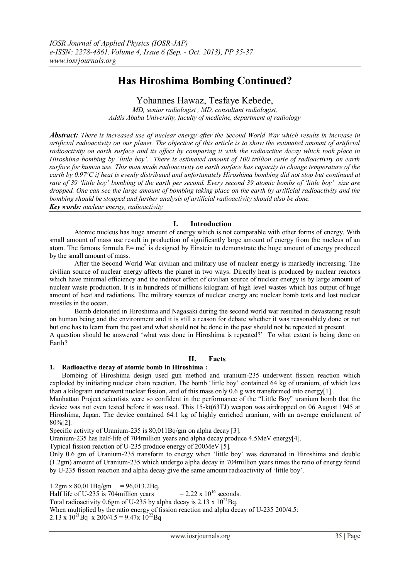# **Has Hiroshima Bombing Continued?**

Yohannes Hawaz, Tesfaye Kebede,

*MD, senior radiologist , MD, consultant radiologist, Addis Ababa University, faculty of medicine, department of radiology*

*Abstract: There is increased use of nuclear energy after the Second World War which results in increase in artificial radioactivity on our planet. The objective of this article is to show the estimated amount of artificial radioactivity on earth surface and its effect by comparing it with the radioactive decay which took place in Hiroshima bombing by 'little boy'. There is estimated amount of 100 trillion curie of radioactivity on earth surface for human use. This man made radioactivity on earth surface has capacity to change temperature of the earth by 0.97<sup>°</sup>C if heat is evenly distributed and unfortunately Hiroshima bombing did not stop but continued at rate of 39 'little boy' bombing of the earth per second. Every second 39 atomic bombs of 'little boy' size are dropped. One can see the large amount of bombing taking place on the earth by artificial radioactivity and the bombing should be stopped and further analysis of artificial radioactivity should also be done. Key words: nuclear energy, radioactivity*

# **I. Introduction**

Atomic nucleus has huge amount of energy which is not comparable with other forms of energy. With small amount of mass use result in production of significantly large amount of energy from the nucleus of an atom. The famous formula  $E=mc^2$  is designed by Einstein to demonstrate the huge amount of energy produced by the small amount of mass.

After the Second World War civilian and military use of nuclear energy is markedly increasing. The civilian source of nuclear energy affects the planet in two ways. Directly heat is produced by nuclear reactors which have minimal efficiency and the indirect effect of civilian source of nuclear energy is by large amount of nuclear waste production. It is in hundreds of millions kilogram of high level wastes which has output of huge amount of heat and radiations. The military sources of nuclear energy are nuclear bomb tests and lost nuclear missiles in the ocean.

Bomb detonated in Hiroshima and Nagasaki during the second world war resulted in devastating result on human being and the environment and it is still a reason for debate whether it was reasonablely done or not but one has to learn from the past and what should not be done in the past should not be repeated at present. A question should be answered "what was done in Hiroshima is repeated?" To what extent is being done on Earth?

## **II. Facts**

### **1. Radioactive decay of atomic bomb in Hiroshima :**

Bombing of Hiroshima design used gun method and uranium-235 underwent fission reaction which exploded by initiating nuclear chain reaction. The bomb "little boy" contained 64 kg of uranium, of which less than a kilogram underwent nuclear fission, and of this mass only 0.6 g was transformed into energy[1] .

Manhattan Project scientists were so confident in the performance of the "Little Boy" uranium bomb that the device was not even tested before it was used. This 15-kt(63TJ) weapon was airdropped on 06 August 1945 at Hiroshima, Japan. The device contained 64.1 kg of highly enriched uranium, with an average enrichment of 80%[2].

Specific activity of Uranium-235 is 80,011Bq/gm on alpha decay [3].

Uranium-235 has half-life of 704million years and alpha decay produce 4.5MeV energy[4].

Typical fission reaction of U-235 produce energy of 200MeV [5].

Only 0.6 gm of Uranium-235 transform to energy when "little boy" was detonated in Hiroshima and double (1.2gm) amount of Uranium-235 which undergo alpha decay in 704million years times the ratio of energy found by U-235 fission reaction and alpha decay give the same amount radioactivity of "little boy".

1.2gm x  $80,011Bq/gm = 96,013.2Bq$ . Half life of U-235 is 704million years =  $2.22 \times 10^{16}$  seconds. Total radioactivity 0.6gm of U-235 by alpha decay is 2.13 x  $10^{21}$ Bq. When multiplied by the ratio energy of fission reaction and alpha decay of U-235 200/4.5: 2.13 x  $10^{21}$ Bq x  $200/4.5 = 9.47$ x  $10^{22}$ Bq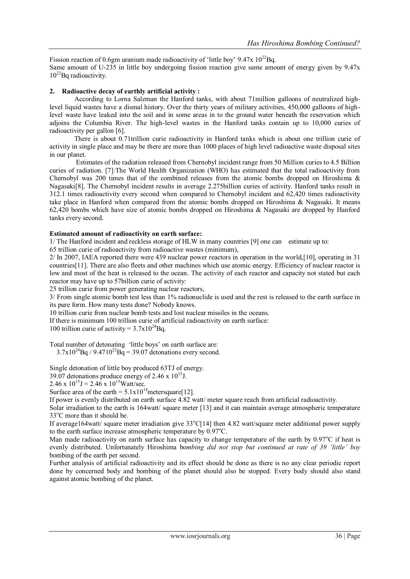Fission reaction of 0.6gm uranium made radioactivity of 'little boy'  $9.47x$   $10^{22}$ Bq. Same amount of U-235 in little boy undergoing fission reaction give same amount of energy given by 9.47x  $10^{22}$ Bq radioactivity.

#### **2. Radioactive decay of earthly artificial activity :**

According to Lorna Salzman the Hanford tanks, with about 71million galloons of neutralized highlevel liquid wastes have a dismal history. Over the thirty years of military activities, 450,000 galloons of highlevel waste have leaked into the soil and in some areas in to the ground water beneath the reservation which adjoins the Columbia River. The high-level wastes in the Hanford tanks contain up to 10,000 curies of radioactivity per gallon [6].

There is about 0.71trillion curie radioactivity in Hanford tanks which is about one trillion curie of activity in single place and may be there are more than 1000 places of high level radioactive waste disposal sites in our planet.

Estimates of the radiation released from Chernobyl incident range from 50 Million curies to 4.5 Billion curies of radiation. [7]:The World Health Organization (WHO) has estimated that the total radioactivity from Chernobyl was 200 times that of the combined releases from the atomic bombs dropped on Hiroshima  $\&$ Nagasaki[8]. The Chernobyl incident results in average 2.275billion curies of activity. Hanford tanks result in 312.1 times radioactivity every second when compared to Chernobyl incident and 62,420 times radioactivity take place in Hanford when compared from the atomic bombs dropped on Hiroshima & Nagasaki. It means 62,420 bombs which have size of atomic bombs dropped on Hiroshima & Nagasaki are dropped by Hanford tanks every second.

#### **Estimated amount of radioactivity on earth surface:**

1/ The Hanford incident and reckless storage of HLW in many countries [9] one can estimate up to:

65 trillion curie of radioactivity from radioactive wastes (minimum),

2/ In 2007, IAEA reported there were 439 nuclear power reactors in operation in the world,[10], operating in 31 countries[11]. There are also fleets and other machines which use atomic energy. Efficiency of nuclear reactor is low and most of the heat is released to the ocean. The activity of each reactor and capacity not stated but each reactor may have up to 57billion curie of activity:

25 trillion curie from power generating nuclear reactors,

3/ From single atomic bomb test less than 1% radionuclide is used and the rest is released to the earth surface in its pure form. How many tests done? Nobody knows.

10 trillion curie from nuclear bomb tests and lost nuclear missiles in the oceans.

If there is minimum 100 trillion curie of artificial radioactivity on earth surface:

100 trillion curie of activity =  $3.7x10^{24}$ Bq.

Total number of detonating "little boys" on earth surface are:

 $3.7x10^{24}$ Bq /  $9.4710^{22}$ Bq = 39.07 detonations every second.

Single detonation of little boy produced 63TJ of energy.

39.07 detonations produce energy of 2.46 x  $10^{15}$ J.

2.46 x  $10^{15}$ J = 2.46 x  $10^{15}$ Watt/sec.

Surface area of the earth =  $5.1x10^{14}$  meters quare [12].

If power is evenly distributed on earth surface 4.82 watt/ meter square reach from artificial radioactivity.

Solar irradiation to the earth is 164watt/ square meter [13] and it can maintain average atmospheric temperature 33°C more than it should be.

If average164watt/ square meter irradiation give  $33^{\circ}$ C[14] then 4.82 watt/square meter additional power supply to the earth surface increase atmospheric temperature by  $0.97^{\circ}$ C.

Man made radioactivity on earth surface has capacity to change temperature of the earth by  $0.97^{\circ}$ C if heat is evenly distributed. Unfortunately Hiroshima bo*mbing did not stop but continued at rate of 39 'little' boy*  bombing of the earth per second.

Further analysis of artificial radioactivity and its effect should be done as there is no any clear periodic report done by concerned body and bombing of the planet should also be stopped. Every body should also stand against atomic bombing of the planet.